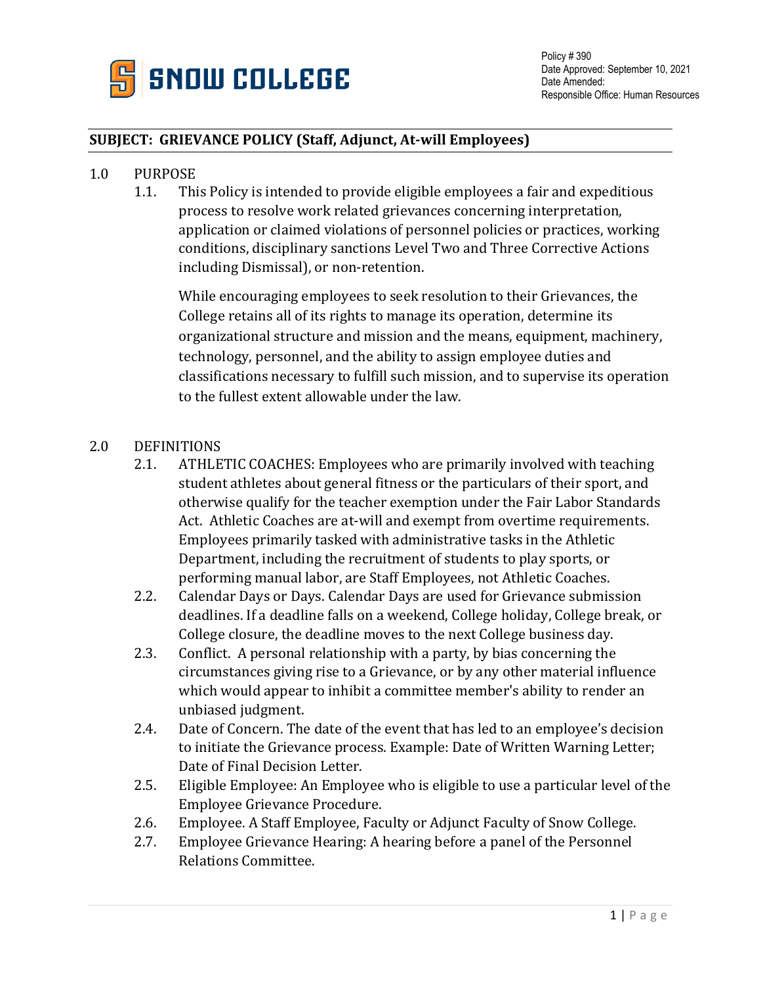

## **SUBJECT: GRIEVANCE POLICY (Staff, Adjunct, At-will Employees)**

- 1.0 PURPOSE<br>1.1. Thi
	- This Policy is intended to provide eligible employees a fair and expeditious process to resolve work related grievances concerning interpretation, application or claimed violations of personnel policies or practices, working conditions, disciplinary sanctions Level Two and Three Corrective Actions including Dismissal), or non-retention.

While encouraging employees to seek resolution to their Grievances, the College retains all of its rights to manage its operation, determine its organizational structure and mission and the means, equipment, machinery, technology, personnel, and the ability to assign employee duties and classifications necessary to fulfill such mission, and to supervise its operation to the fullest extent allowable under the law.

- 2.0 DEFINITIONS<br>2.1. ATHLE
	- ATHLETIC COACHES: Employees who are primarily involved with teaching student athletes about general fitness or the particulars of their sport, and otherwise qualify for the teacher exemption under the Fair Labor Standards Act. Athletic Coaches are at-will and exempt from overtime requirements. Employees primarily tasked with administrative tasks in the Athletic Department, including the recruitment of students to play sports, or performing manual labor, are Staff Employees, not Athletic Coaches.
	- 2.2. Calendar Days or Days. Calendar Days are used for Grievance submission deadlines. If a deadline falls on a weekend, College holiday, College break, or College closure, the deadline moves to the next College business day.
	- 2.3. Conflict. A personal relationship with a party, by bias concerning the circumstances giving rise to a Grievance, or by any other material influence which would appear to inhibit a committee member's ability to render an unbiased judgment.
	- 2.4. Date of Concern. The date of the event that has led to an employee's decision to initiate the Grievance process. Example: Date of Written Warning Letter; Date of Final Decision Letter.
	- 2.5. Eligible Employee: An Employee who is eligible to use a particular level of the Employee Grievance Procedure.
	- 2.6. Employee. A Staff Employee, Faculty or Adjunct Faculty of Snow College.<br>2.7. Employee Grievance Hearing: A hearing before a panel of the Personnel
	- Employee Grievance Hearing: A hearing before a panel of the Personnel Relations Committee.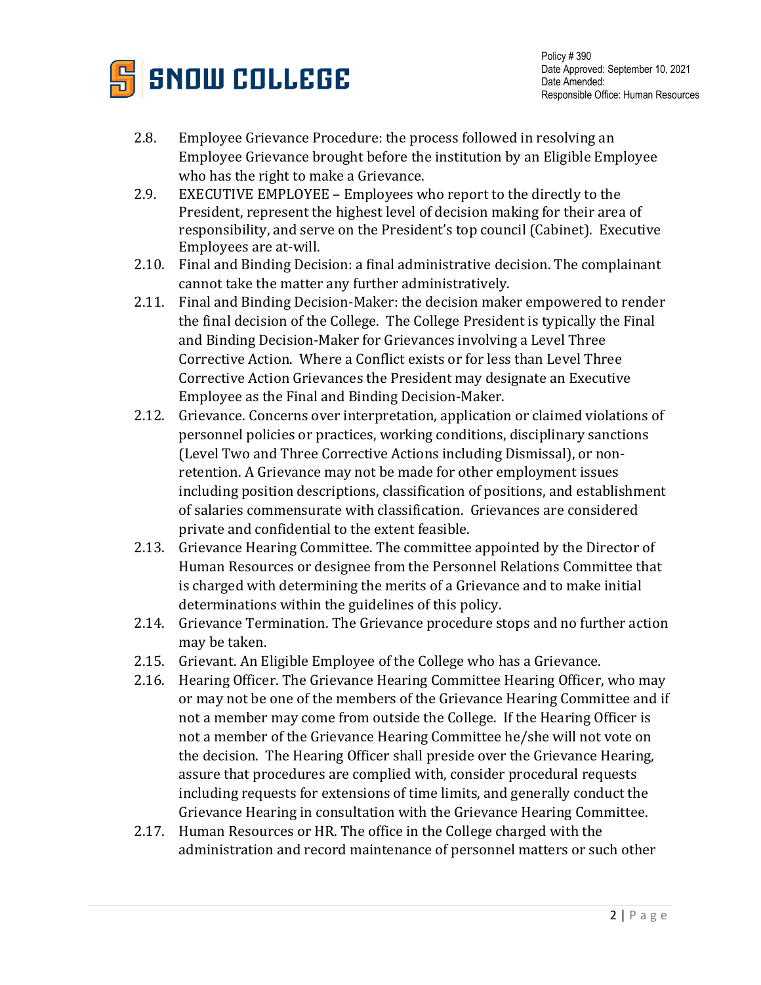

Policy # 390 Date Approved: September 10, 2021 Date Amended: Responsible Office: Human Resources

- 2.8. Employee Grievance Procedure: the process followed in resolving an Employee Grievance brought before the institution by an Eligible Employee who has the right to make a Grievance.
- 2.9. EXECUTIVE EMPLOYEE Employees who report to the directly to the President, represent the highest level of decision making for their area of responsibility, and serve on the President's top council (Cabinet). Executive Employees are at-will.
- 2.10. Final and Binding Decision: a final administrative decision. The complainant cannot take the matter any further administratively.
- 2.11. Final and Binding Decision-Maker: the decision maker empowered to render the final decision of the College. The College President is typically the Final and Binding Decision-Maker for Grievances involving a Level Three Corrective Action. Where a Conflict exists or for less than Level Three Corrective Action Grievances the President may designate an Executive Employee as the Final and Binding Decision-Maker.
- 2.12. Grievance. Concerns over interpretation, application or claimed violations of personnel policies or practices, working conditions, disciplinary sanctions (Level Two and Three Corrective Actions including Dismissal), or nonretention. A Grievance may not be made for other employment issues including position descriptions, classification of positions, and establishment of salaries commensurate with classification. Grievances are considered private and confidential to the extent feasible.
- 2.13. Grievance Hearing Committee. The committee appointed by the Director of Human Resources or designee from the Personnel Relations Committee that is charged with determining the merits of a Grievance and to make initial determinations within the guidelines of this policy.
- 2.14. Grievance Termination. The Grievance procedure stops and no further action may be taken.
- 2.15. Grievant. An Eligible Employee of the College who has a Grievance.
- 2.16. Hearing Officer. The Grievance Hearing Committee Hearing Officer, who may or may not be one of the members of the Grievance Hearing Committee and if not a member may come from outside the College. If the Hearing Officer is not a member of the Grievance Hearing Committee he/she will not vote on the decision. The Hearing Officer shall preside over the Grievance Hearing, assure that procedures are complied with, consider procedural requests including requests for extensions of time limits, and generally conduct the Grievance Hearing in consultation with the Grievance Hearing Committee.
- 2.17. Human Resources or HR. The office in the College charged with the administration and record maintenance of personnel matters or such other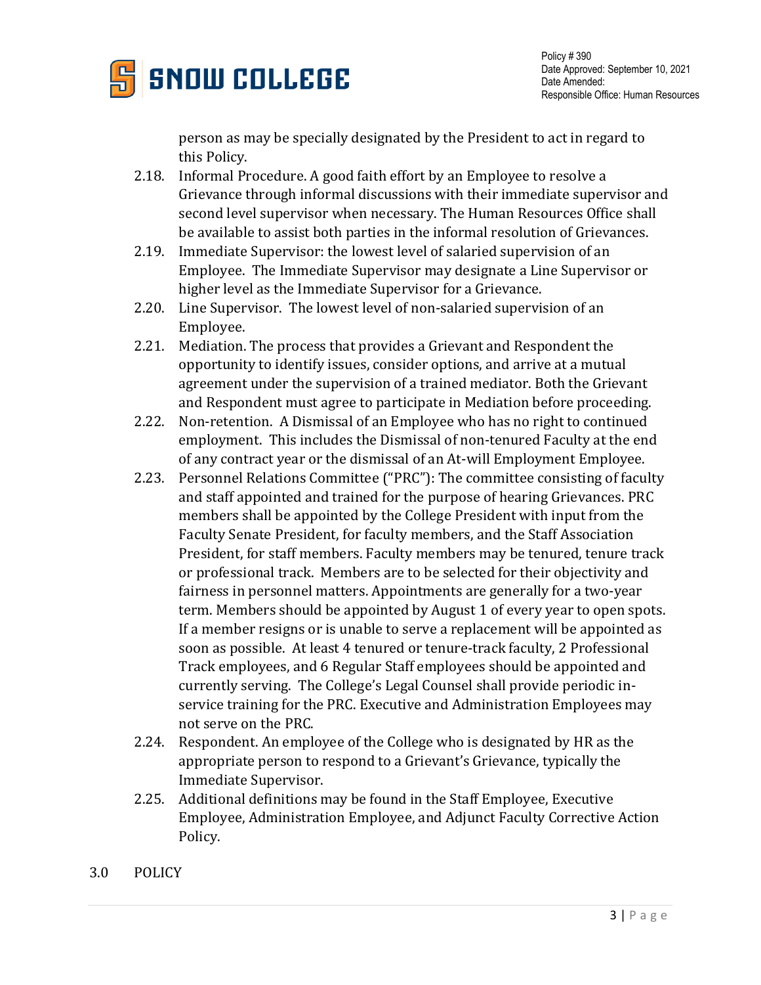

person as may be specially designated by the President to act in regard to this Policy.

- 2.18. Informal Procedure. A good faith effort by an Employee to resolve a Grievance through informal discussions with their immediate supervisor and second level supervisor when necessary. The Human Resources Office shall be available to assist both parties in the informal resolution of Grievances.
- 2.19. Immediate Supervisor: the lowest level of salaried supervision of an Employee. The Immediate Supervisor may designate a Line Supervisor or higher level as the Immediate Supervisor for a Grievance.
- 2.20. Line Supervisor. The lowest level of non-salaried supervision of an Employee.
- 2.21. Mediation. The process that provides a Grievant and Respondent the opportunity to identify issues, consider options, and arrive at a mutual agreement under the supervision of a trained mediator. Both the Grievant and Respondent must agree to participate in Mediation before proceeding.
- 2.22. Non-retention. A Dismissal of an Employee who has no right to continued employment. This includes the Dismissal of non-tenured Faculty at the end of any contract year or the dismissal of an At-will Employment Employee.
- 2.23. Personnel Relations Committee ("PRC"): The committee consisting of faculty and staff appointed and trained for the purpose of hearing Grievances. PRC members shall be appointed by the College President with input from the Faculty Senate President, for faculty members, and the Staff Association President, for staff members. Faculty members may be tenured, tenure track or professional track. Members are to be selected for their objectivity and fairness in personnel matters. Appointments are generally for a two-year term. Members should be appointed by August 1 of every year to open spots. If a member resigns or is unable to serve a replacement will be appointed as soon as possible. At least 4 tenured or tenure-track faculty, 2 Professional Track employees, and 6 Regular Staff employees should be appointed and currently serving. The College's Legal Counsel shall provide periodic inservice training for the PRC. Executive and Administration Employees may not serve on the PRC.
- 2.24. Respondent. An employee of the College who is designated by HR as the appropriate person to respond to a Grievant's Grievance, typically the Immediate Supervisor.
- 2.25. Additional definitions may be found in the Staff Employee, Executive Employee, Administration Employee, and Adjunct Faculty Corrective Action Policy.
- 3.0 POLICY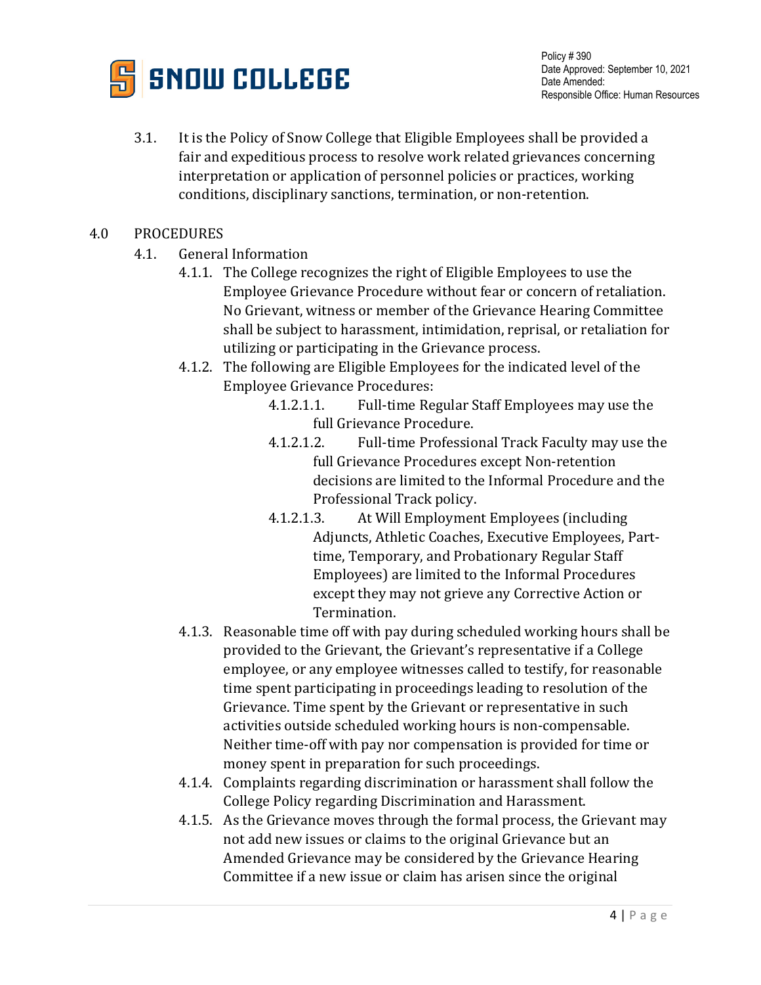

3.1. It is the Policy of Snow College that Eligible Employees shall be provided a fair and expeditious process to resolve work related grievances concerning interpretation or application of personnel policies or practices, working conditions, disciplinary sanctions, termination, or non-retention.

## 4.0 PROCEDURES

- 4.1. General Information
	- 4.1.1. The College recognizes the right of Eligible Employees to use the Employee Grievance Procedure without fear or concern of retaliation. No Grievant, witness or member of the Grievance Hearing Committee shall be subject to harassment, intimidation, reprisal, or retaliation for utilizing or participating in the Grievance process.
	- 4.1.2. The following are Eligible Employees for the indicated level of the Employee Grievance Procedures:<br>4.1.2.1.1. Full-time Re
		- 4.1.2.1.1. Full-time Regular Staff Employees may use the full Grievance Procedure.
		- 4.1.2.1.2. Full-time Professional Track Faculty may use the full Grievance Procedures except Non-retention decisions are limited to the Informal Procedure and the Professional Track policy.
		- 4.1.2.1.3. At Will Employment Employees (including Adjuncts, Athletic Coaches, Executive Employees, Parttime, Temporary, and Probationary Regular Staff Employees) are limited to the Informal Procedures except they may not grieve any Corrective Action or Termination.
	- 4.1.3. Reasonable time off with pay during scheduled working hours shall be provided to the Grievant, the Grievant's representative if a College employee, or any employee witnesses called to testify, for reasonable time spent participating in proceedings leading to resolution of the Grievance. Time spent by the Grievant or representative in such activities outside scheduled working hours is non-compensable. Neither time-off with pay nor compensation is provided for time or money spent in preparation for such proceedings.
	- 4.1.4. Complaints regarding discrimination or harassment shall follow the College Policy regarding Discrimination and Harassment.
	- 4.1.5. As the Grievance moves through the formal process, the Grievant may not add new issues or claims to the original Grievance but an Amended Grievance may be considered by the Grievance Hearing Committee if a new issue or claim has arisen since the original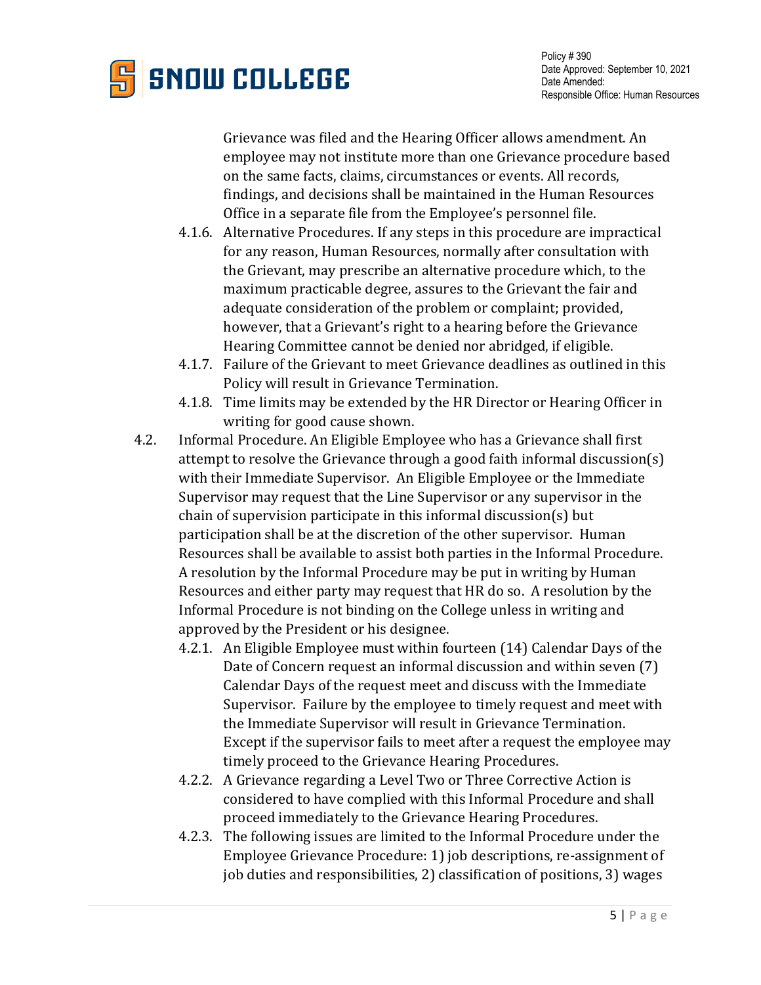

Grievance was filed and the Hearing Officer allows amendment. An employee may not institute more than one Grievance procedure based on the same facts, claims, circumstances or events. All records, findings, and decisions shall be maintained in the Human Resources Office in a separate file from the Employee's personnel file.

- 4.1.6. Alternative Procedures. If any steps in this procedure are impractical for any reason, Human Resources, normally after consultation with the Grievant, may prescribe an alternative procedure which, to the maximum practicable degree, assures to the Grievant the fair and adequate consideration of the problem or complaint; provided, however, that a Grievant's right to a hearing before the Grievance Hearing Committee cannot be denied nor abridged, if eligible.
- 4.1.7. Failure of the Grievant to meet Grievance deadlines as outlined in this Policy will result in Grievance Termination.
- 4.1.8. Time limits may be extended by the HR Director or Hearing Officer in writing for good cause shown.
- 4.2. Informal Procedure. An Eligible Employee who has a Grievance shall first attempt to resolve the Grievance through a good faith informal discussion(s) with their Immediate Supervisor. An Eligible Employee or the Immediate Supervisor may request that the Line Supervisor or any supervisor in the chain of supervision participate in this informal discussion(s) but participation shall be at the discretion of the other supervisor. Human Resources shall be available to assist both parties in the Informal Procedure. A resolution by the Informal Procedure may be put in writing by Human Resources and either party may request that HR do so. A resolution by the Informal Procedure is not binding on the College unless in writing and approved by the President or his designee.
	- 4.2.1. An Eligible Employee must within fourteen (14) Calendar Days of the Date of Concern request an informal discussion and within seven (7) Calendar Days of the request meet and discuss with the Immediate Supervisor. Failure by the employee to timely request and meet with the Immediate Supervisor will result in Grievance Termination. Except if the supervisor fails to meet after a request the employee may timely proceed to the Grievance Hearing Procedures.
	- 4.2.2. A Grievance regarding a Level Two or Three Corrective Action is considered to have complied with this Informal Procedure and shall proceed immediately to the Grievance Hearing Procedures.
	- 4.2.3. The following issues are limited to the Informal Procedure under the Employee Grievance Procedure: 1) job descriptions, re-assignment of job duties and responsibilities, 2) classification of positions, 3) wages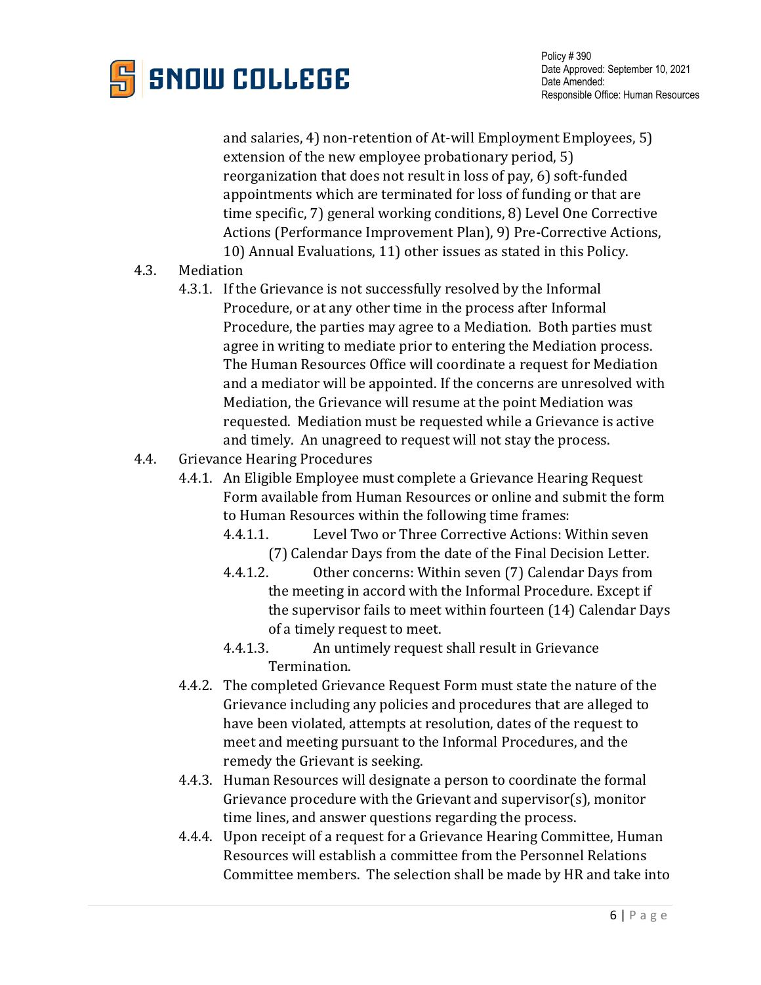

and salaries, 4) non-retention of At-will Employment Employees, 5) extension of the new employee probationary period, 5) reorganization that does not result in loss of pay, 6) soft-funded appointments which are terminated for loss of funding or that are time specific, 7) general working conditions, 8) Level One Corrective Actions (Performance Improvement Plan), 9) Pre-Corrective Actions, 10) Annual Evaluations, 11) other issues as stated in this Policy.

- 4.3. Mediation
	- 4.3.1. If the Grievance is not successfully resolved by the Informal Procedure, or at any other time in the process after Informal Procedure, the parties may agree to a Mediation. Both parties must agree in writing to mediate prior to entering the Mediation process. The Human Resources Office will coordinate a request for Mediation and a mediator will be appointed. If the concerns are unresolved with Mediation, the Grievance will resume at the point Mediation was requested. Mediation must be requested while a Grievance is active and timely. An unagreed to request will not stay the process.
- 4.4. Grievance Hearing Procedures
	- 4.4.1. An Eligible Employee must complete a Grievance Hearing Request Form available from Human Resources or online and submit the form to Human Resources within the following time frames:<br>4.4.1.1. Level Two or Three Corrective Actions: V
		- Level Two or Three Corrective Actions: Within seven (7) Calendar Days from the date of the Final Decision Letter.
		- 4.4.1.2. Other concerns: Within seven (7) Calendar Days from the meeting in accord with the Informal Procedure. Except if the supervisor fails to meet within fourteen (14) Calendar Days of a timely request to meet.
		- 4.4.1.3. An untimely request shall result in Grievance Termination.
	- 4.4.2. The completed Grievance Request Form must state the nature of the Grievance including any policies and procedures that are alleged to have been violated, attempts at resolution, dates of the request to meet and meeting pursuant to the Informal Procedures, and the remedy the Grievant is seeking.
	- 4.4.3. Human Resources will designate a person to coordinate the formal Grievance procedure with the Grievant and supervisor(s), monitor time lines, and answer questions regarding the process.
	- 4.4.4. Upon receipt of a request for a Grievance Hearing Committee, Human Resources will establish a committee from the Personnel Relations Committee members. The selection shall be made by HR and take into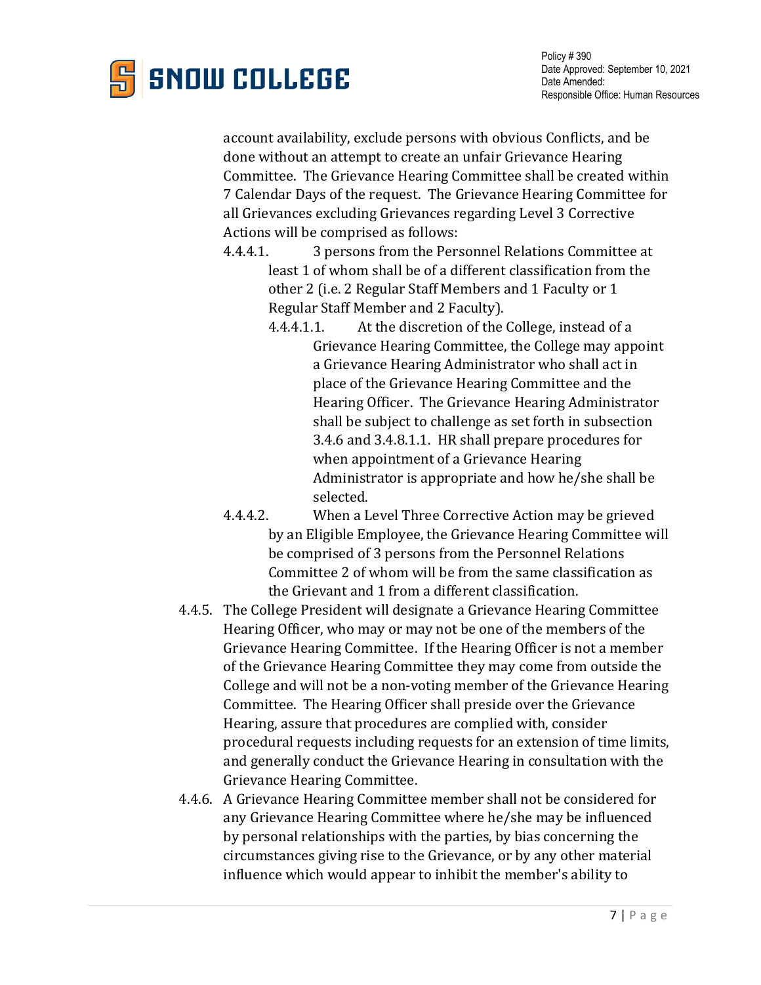

account availability, exclude persons with obvious Conflicts, and be done without an attempt to create an unfair Grievance Hearing Committee. The Grievance Hearing Committee shall be created within 7 Calendar Days of the request. The Grievance Hearing Committee for all Grievances excluding Grievances regarding Level 3 Corrective Actions will be comprised as follows:

- 4.4.4.1. 3 persons from the Personnel Relations Committee at least 1 of whom shall be of a different classification from the other 2 (i.e. 2 Regular Staff Members and 1 Faculty or 1 Regular Staff Member and 2 Faculty).
	- 4.4.4.1.1. At the discretion of the College, instead of a Grievance Hearing Committee, the College may appoint a Grievance Hearing Administrator who shall act in place of the Grievance Hearing Committee and the Hearing Officer. The Grievance Hearing Administrator shall be subject to challenge as set forth in subsection 3.4.6 and 3.4.8.1.1. HR shall prepare procedures for when appointment of a Grievance Hearing Administrator is appropriate and how he/she shall be selected.
- 4.4.4.2. When a Level Three Corrective Action may be grieved by an Eligible Employee, the Grievance Hearing Committee will be comprised of 3 persons from the Personnel Relations Committee 2 of whom will be from the same classification as the Grievant and 1 from a different classification.
- 4.4.5. The College President will designate a Grievance Hearing Committee Hearing Officer, who may or may not be one of the members of the Grievance Hearing Committee. If the Hearing Officer is not a member of the Grievance Hearing Committee they may come from outside the College and will not be a non-voting member of the Grievance Hearing Committee. The Hearing Officer shall preside over the Grievance Hearing, assure that procedures are complied with, consider procedural requests including requests for an extension of time limits, and generally conduct the Grievance Hearing in consultation with the Grievance Hearing Committee.
- 4.4.6. A Grievance Hearing Committee member shall not be considered for any Grievance Hearing Committee where he/she may be influenced by personal relationships with the parties, by bias concerning the circumstances giving rise to the Grievance, or by any other material influence which would appear to inhibit the member's ability to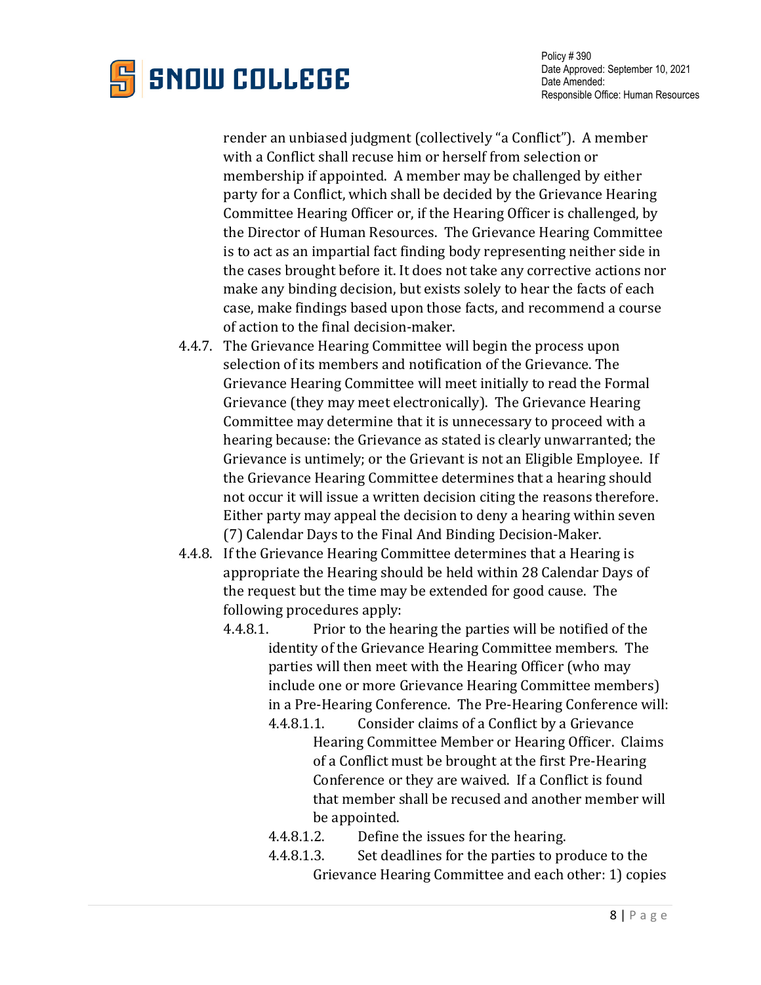

Policy # 390 Date Approved: September 10, 2021 Date Amended: Responsible Office: Human Resources

render an unbiased judgment (collectively "a Conflict"). A member with a Conflict shall recuse him or herself from selection or membership if appointed. A member may be challenged by either party for a Conflict, which shall be decided by the Grievance Hearing Committee Hearing Officer or, if the Hearing Officer is challenged, by the Director of Human Resources. The Grievance Hearing Committee is to act as an impartial fact finding body representing neither side in the cases brought before it. It does not take any corrective actions nor make any binding decision, but exists solely to hear the facts of each case, make findings based upon those facts, and recommend a course of action to the final decision-maker.

- 4.4.7. The Grievance Hearing Committee will begin the process upon selection of its members and notification of the Grievance. The Grievance Hearing Committee will meet initially to read the Formal Grievance (they may meet electronically). The Grievance Hearing Committee may determine that it is unnecessary to proceed with a hearing because: the Grievance as stated is clearly unwarranted; the Grievance is untimely; or the Grievant is not an Eligible Employee. If the Grievance Hearing Committee determines that a hearing should not occur it will issue a written decision citing the reasons therefore. Either party may appeal the decision to deny a hearing within seven (7) Calendar Days to the Final And Binding Decision-Maker.
- 4.4.8. If the Grievance Hearing Committee determines that a Hearing is appropriate the Hearing should be held within 28 Calendar Days of the request but the time may be extended for good cause. The following procedures apply:<br>4.4.8.1. Prior to the he
	- Prior to the hearing the parties will be notified of the identity of the Grievance Hearing Committee members. The parties will then meet with the Hearing Officer (who may include one or more Grievance Hearing Committee members) in a Pre-Hearing Conference. The Pre-Hearing Conference will:
		- 4.4.8.1.1. Consider claims of a Conflict by a Grievance Hearing Committee Member or Hearing Officer. Claims of a Conflict must be brought at the first Pre-Hearing Conference or they are waived. If a Conflict is found that member shall be recused and another member will be appointed.<br>4.4.8.1.2. Define
		- Define the issues for the hearing.
		- 4.4.8.1.3. Set deadlines for the parties to produce to the Grievance Hearing Committee and each other: 1) copies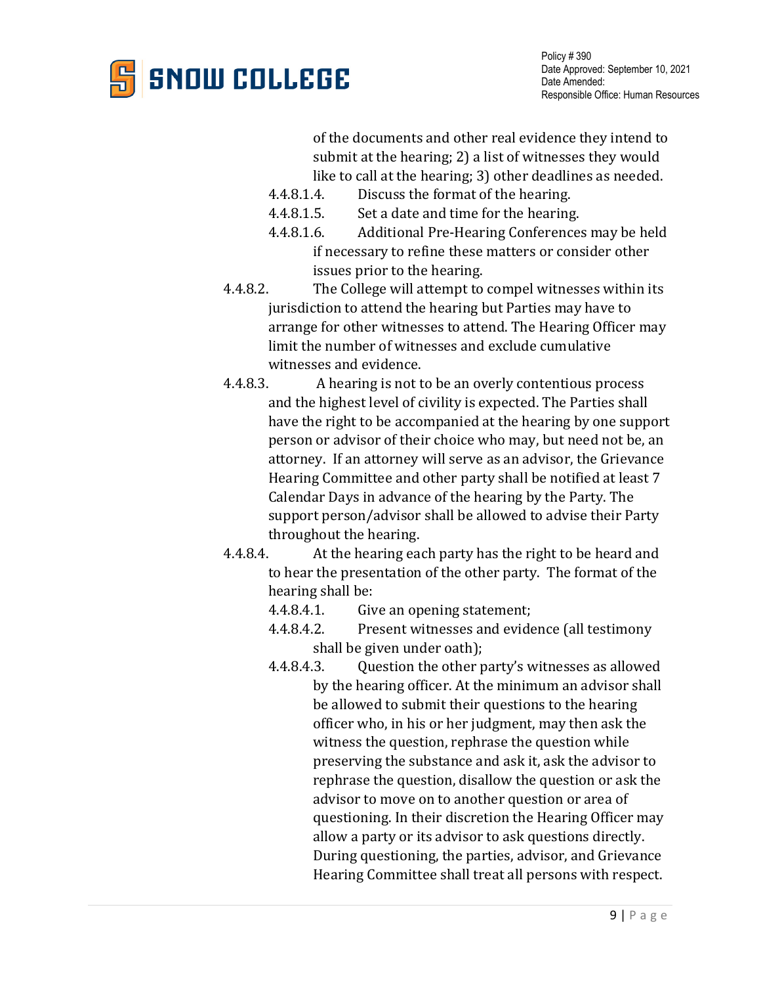

Policy # 390 Date Approved: September 10, 2021 Date Amended: Responsible Office: Human Resources

of the documents and other real evidence they intend to submit at the hearing; 2) a list of witnesses they would like to call at the hearing; 3) other deadlines as needed.

- 4.4.8.1.4. Discuss the format of the hearing.<br>4.4.8.1.5. Set a date and time for the hearing
- 4.4.8.1.5. Set a date and time for the hearing.<br>4.4.8.1.6. Additional Pre-Hearing Conference

Additional Pre-Hearing Conferences may be held if necessary to refine these matters or consider other issues prior to the hearing.

- 4.4.8.2. The College will attempt to compel witnesses within its jurisdiction to attend the hearing but Parties may have to arrange for other witnesses to attend. The Hearing Officer may limit the number of witnesses and exclude cumulative
- witnesses and evidence.<br>4.4.8.3. A hearing is not t A hearing is not to be an overly contentious process and the highest level of civility is expected. The Parties shall have the right to be accompanied at the hearing by one support person or advisor of their choice who may, but need not be, an attorney. If an attorney will serve as an advisor, the Grievance Hearing Committee and other party shall be notified at least 7 Calendar Days in advance of the hearing by the Party. The support person/advisor shall be allowed to advise their Party throughout the hearing.<br>4.4.8.4. At the hearing ea
- At the hearing each party has the right to be heard and to hear the presentation of the other party. The format of the hearing shall be:<br>4.4.8.4.1. Giv
	- 4.4.8.4.1. Give an opening statement;<br>4.4.8.4.2. Present witnesses and evide
	- Present witnesses and evidence (all testimony shall be given under oath);
	- 4.4.8.4.3. Question the other party's witnesses as allowed by the hearing officer. At the minimum an advisor shall be allowed to submit their questions to the hearing officer who, in his or her judgment, may then ask the witness the question, rephrase the question while preserving the substance and ask it, ask the advisor to rephrase the question, disallow the question or ask the advisor to move on to another question or area of questioning. In their discretion the Hearing Officer may allow a party or its advisor to ask questions directly. During questioning, the parties, advisor, and Grievance Hearing Committee shall treat all persons with respect.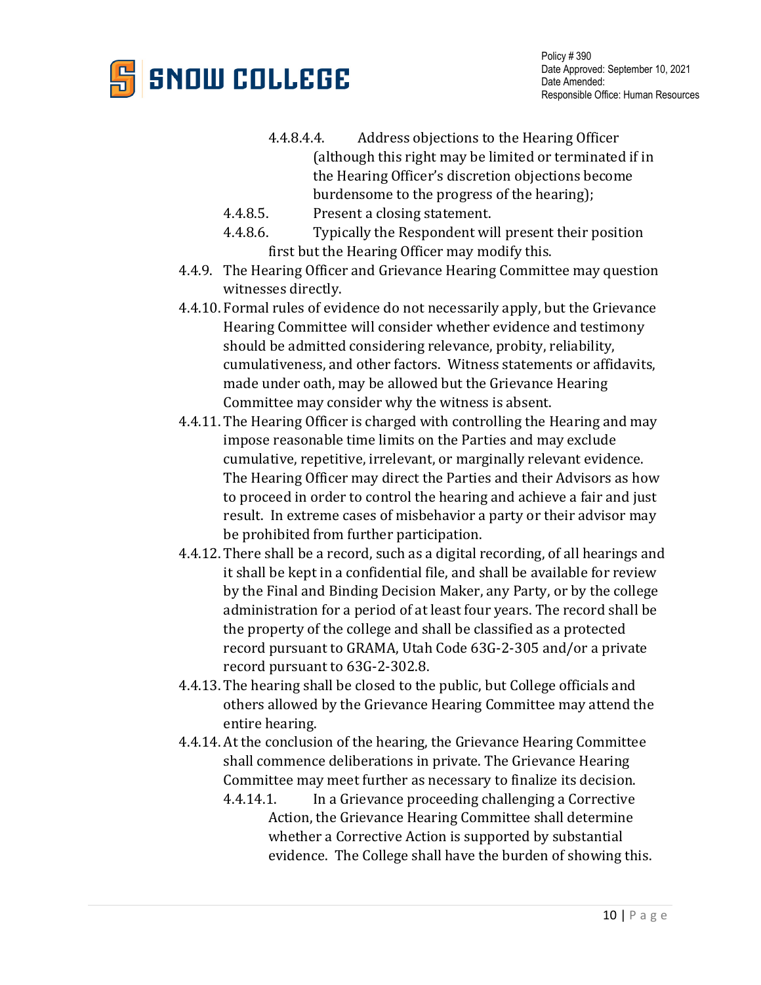

- 4.4.8.4.4. Address objections to the Hearing Officer (although this right may be limited or terminated if in the Hearing Officer's discretion objections become burdensome to the progress of the hearing);
- 4.4.8.5. Present a closing statement.<br>4.4.8.6. Typically the Respondent wi
- Typically the Respondent will present their position first but the Hearing Officer may modify this.
- 4.4.9. The Hearing Officer and Grievance Hearing Committee may question witnesses directly.
- 4.4.10. Formal rules of evidence do not necessarily apply, but the Grievance Hearing Committee will consider whether evidence and testimony should be admitted considering relevance, probity, reliability, cumulativeness, and other factors. Witness statements or affidavits, made under oath, may be allowed but the Grievance Hearing Committee may consider why the witness is absent.
- 4.4.11. The Hearing Officer is charged with controlling the Hearing and may impose reasonable time limits on the Parties and may exclude cumulative, repetitive, irrelevant, or marginally relevant evidence. The Hearing Officer may direct the Parties and their Advisors as how to proceed in order to control the hearing and achieve a fair and just result. In extreme cases of misbehavior a party or their advisor may be prohibited from further participation.
- 4.4.12. There shall be a record, such as a digital recording, of all hearings and it shall be kept in a confidential file, and shall be available for review by the Final and Binding Decision Maker, any Party, or by the college administration for a period of at least four years. The record shall be the property of the college and shall be classified as a protected record pursuant to GRAMA, Utah Code 63G-2-305 and/or a private record pursuant to 63G-2-302.8.
- 4.4.13. The hearing shall be closed to the public, but College officials and others allowed by the Grievance Hearing Committee may attend the entire hearing.
- 4.4.14. At the conclusion of the hearing, the Grievance Hearing Committee shall commence deliberations in private. The Grievance Hearing Committee may meet further as necessary to finalize its decision.
	- 4.4.14.1. In a Grievance proceeding challenging a Corrective Action, the Grievance Hearing Committee shall determine whether a Corrective Action is supported by substantial evidence. The College shall have the burden of showing this.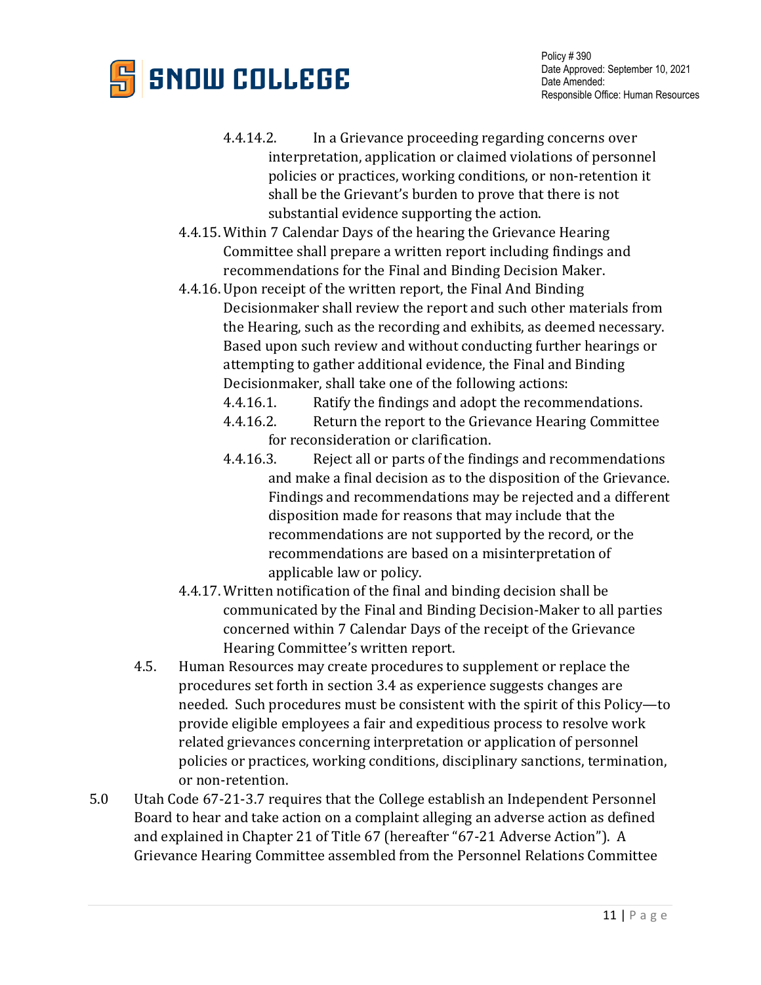

- 4.4.14.2. In a Grievance proceeding regarding concerns over interpretation, application or claimed violations of personnel policies or practices, working conditions, or non-retention it shall be the Grievant's burden to prove that there is not substantial evidence supporting the action.
- 4.4.15. Within 7 Calendar Days of the hearing the Grievance Hearing Committee shall prepare a written report including findings and recommendations for the Final and Binding Decision Maker.
- 4.4.16. Upon receipt of the written report, the Final And Binding Decisionmaker shall review the report and such other materials from the Hearing, such as the recording and exhibits, as deemed necessary. Based upon such review and without conducting further hearings or attempting to gather additional evidence, the Final and Binding Decisionmaker, shall take one of the following actions:

4.4.16.1. Ratify the findings and adopt the recommendations.<br>4.4.16.2. Return the report to the Grievance Hearing Committ

- Return the report to the Grievance Hearing Committee
- for reconsideration or clarification.<br>4.4.16.3. Reject all or parts of the find Reject all or parts of the findings and recommendations and make a final decision as to the disposition of the Grievance. Findings and recommendations may be rejected and a different disposition made for reasons that may include that the recommendations are not supported by the record, or the recommendations are based on a misinterpretation of applicable law or policy.
- 4.4.17. Written notification of the final and binding decision shall be communicated by the Final and Binding Decision-Maker to all parties concerned within 7 Calendar Days of the receipt of the Grievance Hearing Committee's written report.
- 4.5. Human Resources may create procedures to supplement or replace the procedures set forth in section 3.4 as experience suggests changes are needed. Such procedures must be consistent with the spirit of this Policy—to provide eligible employees a fair and expeditious process to resolve work related grievances concerning interpretation or application of personnel policies or practices, working conditions, disciplinary sanctions, termination, or non-retention.
- 5.0 Utah Code 67-21-3.7 requires that the College establish an Independent Personnel Board to hear and take action on a complaint alleging an adverse action as defined and explained in Chapter 21 of Title 67 (hereafter "67-21 Adverse Action"). A Grievance Hearing Committee assembled from the Personnel Relations Committee